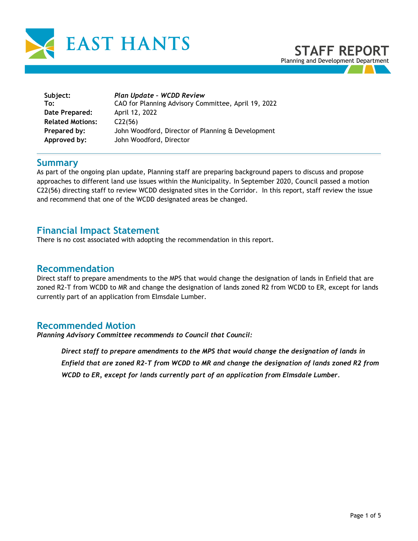



| Subject:<br>To:         | Plan Update - WCDD Review<br>CAO for Planning Advisory Committee, April 19, 2022 |
|-------------------------|----------------------------------------------------------------------------------|
| Date Prepared:          | April 12, 2022                                                                   |
| <b>Related Motions:</b> | C22(56)                                                                          |
| Prepared by:            | John Woodford, Director of Planning & Development                                |
| Approved by:            | John Woodford, Director                                                          |

## **Summary**

As part of the ongoing plan update, Planning staff are preparing background papers to discuss and propose approaches to different land use issues within the Municipality. In September 2020, Council passed a motion C22(56) directing staff to review WCDD designated sites in the Corridor. In this report, staff review the issue and recommend that one of the WCDD designated areas be changed.

## **Financial Impact Statement**

There is no cost associated with adopting the recommendation in this report.

#### **Recommendation**

Direct staff to prepare amendments to the MPS that would change the designation of lands in Enfield that are zoned R2-T from WCDD to MR and change the designation of lands zoned R2 from WCDD to ER, except for lands currently part of an application from Elmsdale Lumber.

## **Recommended Motion**

*Planning Advisory Committee recommends to Council that Council:* 

*Direct staff to prepare amendments to the MPS that would change the designation of lands in Enfield that are zoned R2-T from WCDD to MR and change the designation of lands zoned R2 from WCDD to ER, except for lands currently part of an application from Elmsdale Lumber.*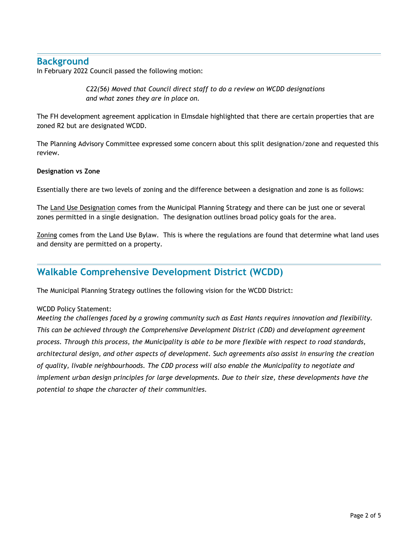## **Background**

In February 2022 Council passed the following motion:

*C22(56) Moved that Council direct staff to do a review on WCDD designations and what zones they are in place on.* 

The FH development agreement application in Elmsdale highlighted that there are certain properties that are zoned R2 but are designated WCDD.

The Planning Advisory Committee expressed some concern about this split designation/zone and requested this review.

#### **Designation vs Zone**

Essentially there are two levels of zoning and the difference between a designation and zone is as follows:

The Land Use Designation comes from the Municipal Planning Strategy and there can be just one or several zones permitted in a single designation. The designation outlines broad policy goals for the area.

Zoning comes from the Land Use Bylaw. This is where the regulations are found that determine what land uses and density are permitted on a property.

## **Walkable Comprehensive Development District (WCDD)**

The Municipal Planning Strategy outlines the following vision for the WCDD District:

#### WCDD Policy Statement:

*Meeting the challenges faced by a growing community such as East Hants requires innovation and flexibility. This can be achieved through the Comprehensive Development District (CDD) and development agreement process. Through this process, the Municipality is able to be more flexible with respect to road standards, architectural design, and other aspects of development. Such agreements also assist in ensuring the creation of quality, livable neighbourhoods. The CDD process will also enable the Municipality to negotiate and implement urban design principles for large developments. Due to their size, these developments have the potential to shape the character of their communities.*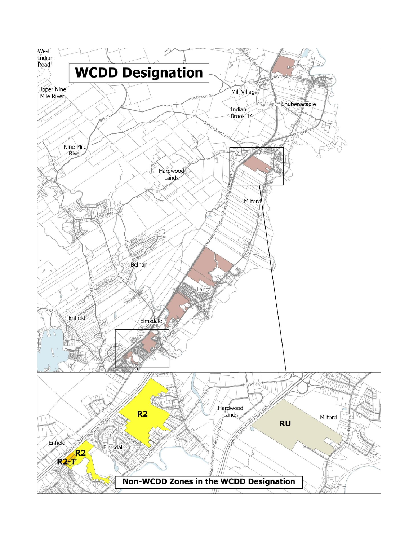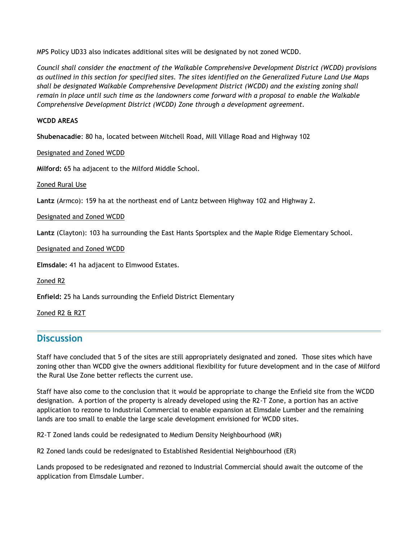MPS Policy UD33 also indicates additional sites will be designated by not zoned WCDD.

*Council shall consider the enactment of the Walkable Comprehensive Development District (WCDD) provisions as outlined in this section for specified sites. The sites identified on the Generalized Future Land Use Maps shall be designated Walkable Comprehensive Development District (WCDD) and the existing zoning shall remain in place until such time as the landowners come forward with a proposal to enable the Walkable Comprehensive Development District (WCDD) Zone through a development agreement.*

#### **WCDD AREAS**

**Shubenacadie**: 80 ha, located between Mitchell Road, Mill Village Road and Highway 102

Designated and Zoned WCDD

**Milford:** 65 ha adjacent to the Milford Middle School.

Zoned Rural Use

**Lantz** (Armco): 159 ha at the northeast end of Lantz between Highway 102 and Highway 2.

Designated and Zoned WCDD

**Lantz** (Clayton): 103 ha surrounding the East Hants Sportsplex and the Maple Ridge Elementary School.

Designated and Zoned WCDD

**Elmsdale:** 41 ha adjacent to Elmwood Estates.

Zoned R2

**Enfield:** 25 ha Lands surrounding the Enfield District Elementary

Zoned R2 & R2T

# **Discussion**

Staff have concluded that 5 of the sites are still appropriately designated and zoned. Those sites which have zoning other than WCDD give the owners additional flexibility for future development and in the case of Milford the Rural Use Zone better reflects the current use.

Staff have also come to the conclusion that it would be appropriate to change the Enfield site from the WCDD designation. A portion of the property is already developed using the R2-T Zone, a portion has an active application to rezone to Industrial Commercial to enable expansion at Elmsdale Lumber and the remaining lands are too small to enable the large scale development envisioned for WCDD sites.

R2-T Zoned lands could be redesignated to Medium Density Neighbourhood (MR)

R2 Zoned lands could be redesignated to Established Residential Neighbourhood (ER)

Lands proposed to be redesignated and rezoned to Industrial Commercial should await the outcome of the application from Elmsdale Lumber.